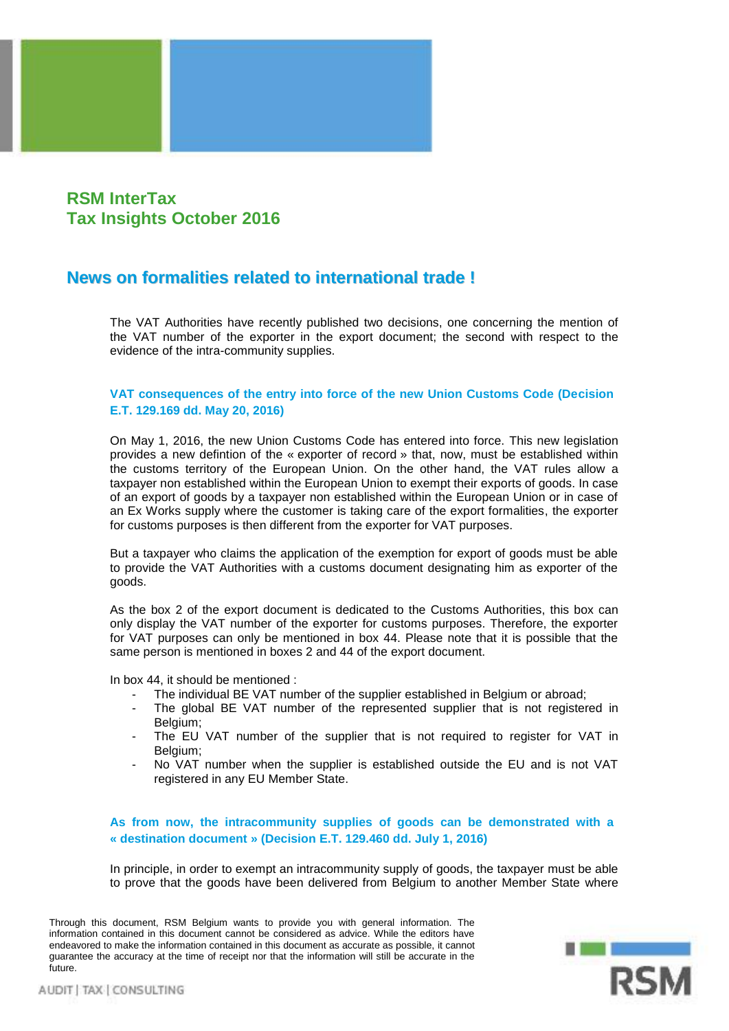# **RSM InterTax Tax Insights October 2016**

# **News on formalities related to international trade !**

The VAT Authorities have recently published two decisions, one concerning the mention of the VAT number of the exporter in the export document; the second with respect to the evidence of the intra-community supplies.

# **VAT consequences of the entry into force of the new Union Customs Code (Decision E.T. 129.169 dd. May 20, 2016)**

On May 1, 2016, the new Union Customs Code has entered into force. This new legislation provides a new defintion of the « exporter of record » that, now, must be established within the customs territory of the European Union. On the other hand, the VAT rules allow a taxpayer non established within the European Union to exempt their exports of goods. In case of an export of goods by a taxpayer non established within the European Union or in case of an Ex Works supply where the customer is taking care of the export formalities, the exporter for customs purposes is then different from the exporter for VAT purposes.

But a taxpayer who claims the application of the exemption for export of goods must be able to provide the VAT Authorities with a customs document designating him as exporter of the goods.

As the box 2 of the export document is dedicated to the Customs Authorities, this box can only display the VAT number of the exporter for customs purposes. Therefore, the exporter for VAT purposes can only be mentioned in box 44. Please note that it is possible that the same person is mentioned in boxes 2 and 44 of the export document.

In box 44, it should be mentioned :

- The individual BE VAT number of the supplier established in Belgium or abroad;
- The global BE VAT number of the represented supplier that is not registered in Belgium;
- The EU VAT number of the supplier that is not required to register for VAT in Belgium;
- No VAT number when the supplier is established outside the EU and is not VAT registered in any EU Member State.

**As from now, the intracommunity supplies of goods can be demonstrated with a « destination document » (Decision E.T. 129.460 dd. July 1, 2016)**

In principle, in order to exempt an intracommunity supply of goods, the taxpayer must be able to prove that the goods have been delivered from Belgium to another Member State where

Through this document, RSM Belgium wants to provide you with general information. The information contained in this document cannot be considered as advice. While the editors have endeavored to make the information contained in this document as accurate as possible, it cannot guarantee the accuracy at the time of receipt nor that the information will still be accurate in the future.

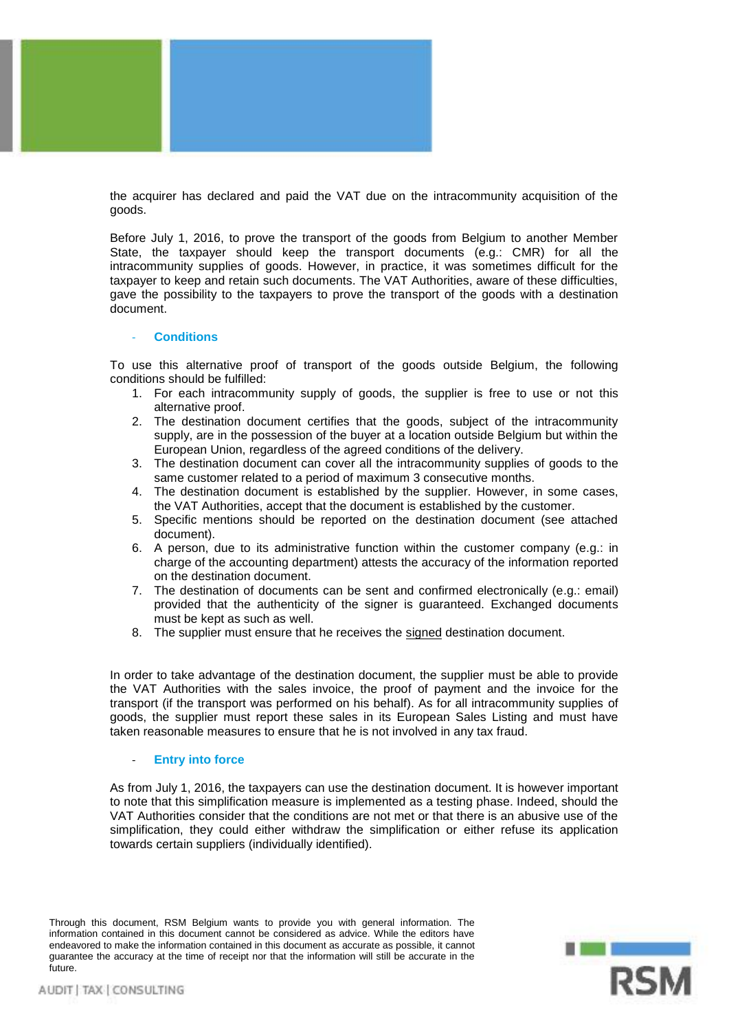

the acquirer has declared and paid the VAT due on the intracommunity acquisition of the goods.

Before July 1, 2016, to prove the transport of the goods from Belgium to another Member State, the taxpayer should keep the transport documents (e.g.: CMR) for all the intracommunity supplies of goods. However, in practice, it was sometimes difficult for the taxpayer to keep and retain such documents. The VAT Authorities, aware of these difficulties, gave the possibility to the taxpayers to prove the transport of the goods with a destination document.

#### - **Conditions**

To use this alternative proof of transport of the goods outside Belgium, the following conditions should be fulfilled:

- 1. For each intracommunity supply of goods, the supplier is free to use or not this alternative proof.
- 2. The destination document certifies that the goods, subject of the intracommunity supply, are in the possession of the buyer at a location outside Belgium but within the European Union, regardless of the agreed conditions of the delivery.
- 3. The destination document can cover all the intracommunity supplies of goods to the same customer related to a period of maximum 3 consecutive months.
- 4. The destination document is established by the supplier. However, in some cases, the VAT Authorities, accept that the document is established by the customer.
- 5. Specific mentions should be reported on the destination document (see attached document).
- 6. A person, due to its administrative function within the customer company (e.g.: in charge of the accounting department) attests the accuracy of the information reported on the destination document.
- 7. The destination of documents can be sent and confirmed electronically (e.g.: email) provided that the authenticity of the signer is guaranteed. Exchanged documents must be kept as such as well.
- 8. The supplier must ensure that he receives the signed destination document.

In order to take advantage of the destination document, the supplier must be able to provide the VAT Authorities with the sales invoice, the proof of payment and the invoice for the transport (if the transport was performed on his behalf). As for all intracommunity supplies of goods, the supplier must report these sales in its European Sales Listing and must have taken reasonable measures to ensure that he is not involved in any tax fraud.

### - **Entry into force**

As from July 1, 2016, the taxpayers can use the destination document. It is however important to note that this simplification measure is implemented as a testing phase. Indeed, should the VAT Authorities consider that the conditions are not met or that there is an abusive use of the simplification, they could either withdraw the simplification or either refuse its application towards certain suppliers (individually identified).

Through this document, RSM Belgium wants to provide you with general information. The information contained in this document cannot be considered as advice. While the editors have endeavored to make the information contained in this document as accurate as possible, it cannot guarantee the accuracy at the time of receipt nor that the information will still be accurate in the future.